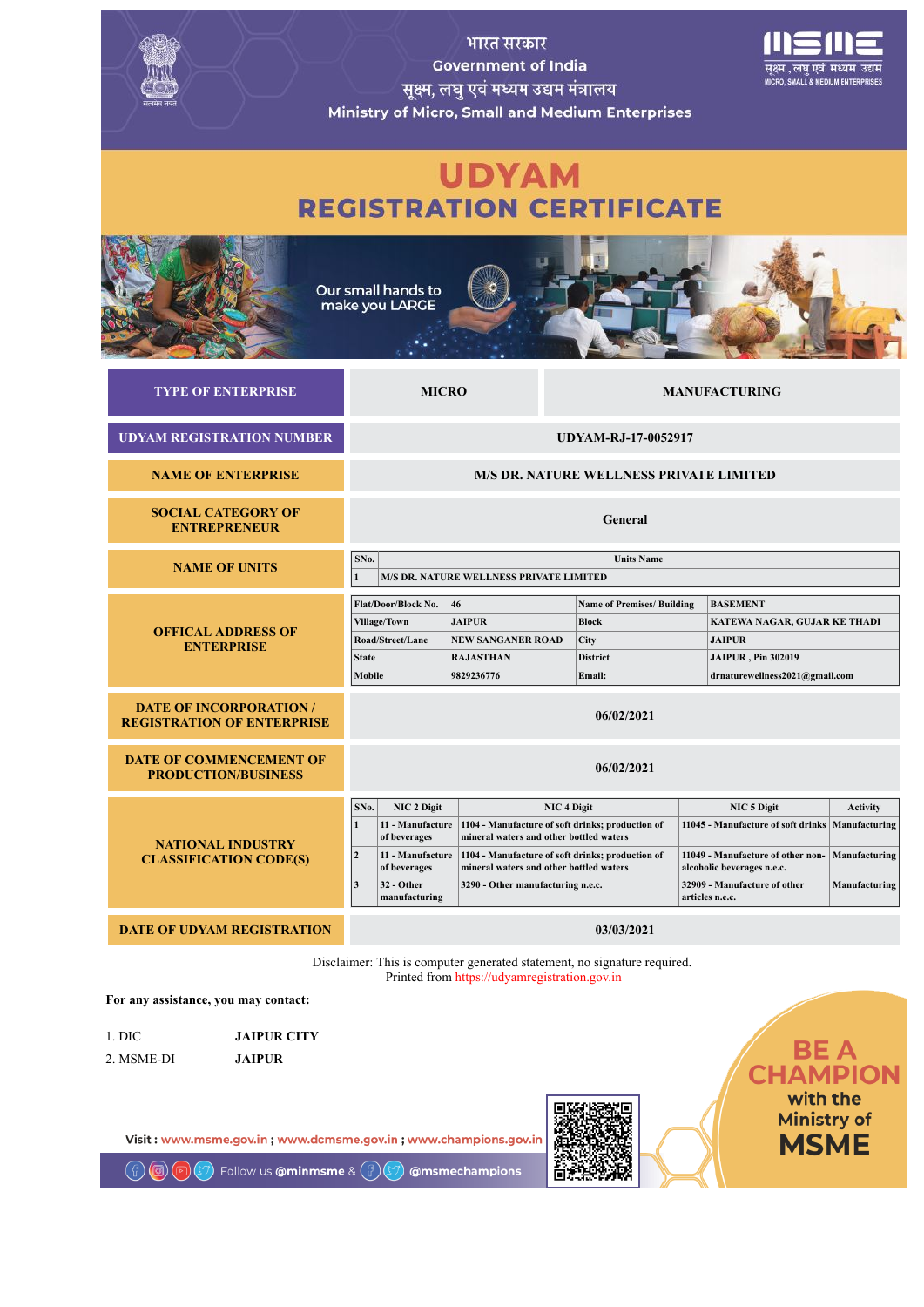

1. DIC **JAIPUR CITY** 2. MSME-DI **JAIPUR**

Visit: www.msme.gov.in: www.dcmsme.gov.in: www.champions.gov.in

Follow us **@minmsme** &  $(\frac{a}{2})$ 

@msmechampions

**BE A**<br>CHAMPION with the **Ministry of MSME**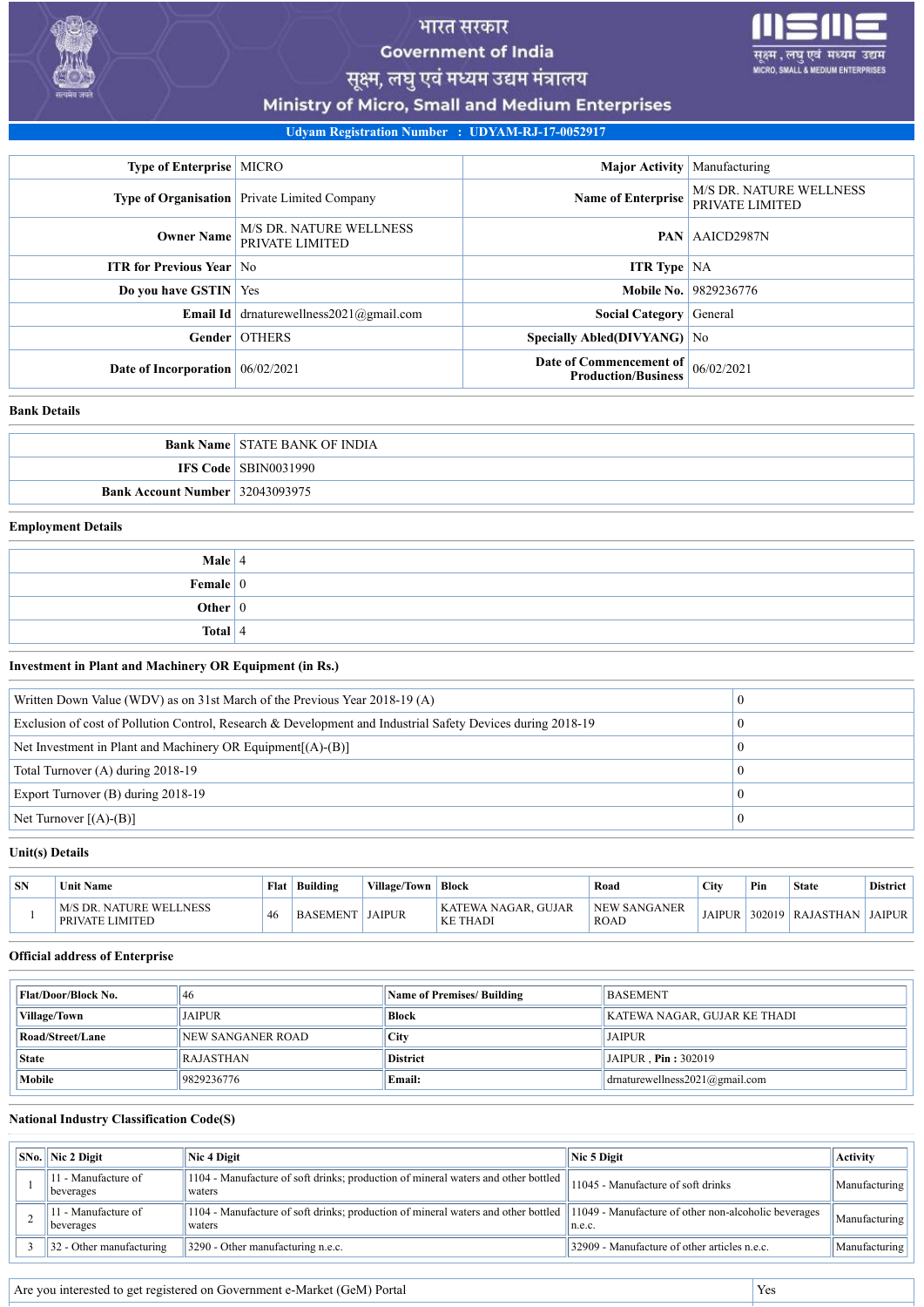

# भारत सरकार **Government of India**



सूक्ष्म, लघु एवं मध्यम उद्यम मंत्रालय

Ministry of Micro, Small and Medium Enterprises

**Udyam Registration Number : UDYAM-RJ-17-0052917**

| <b>Type of Enterprise   MICRO</b>  |                                                                 | Major Activity   Manufacturing                        |                                                   |
|------------------------------------|-----------------------------------------------------------------|-------------------------------------------------------|---------------------------------------------------|
|                                    | <b>Type of Organisation</b> Private Limited Company             | <b>Name of Enterprise</b>                             | <b>M/S DR. NATURE WELLNESS</b><br>PRIVATE LIMITED |
| <b>Owner Name</b>                  | <b>M/S DR. NATURE WELLNESS</b><br><b>PAN</b><br>PRIVATE LIMITED |                                                       | AAICD2987N                                        |
| <b>ITR for Previous Year No</b>    |                                                                 | <b>ITR Type</b> NA                                    |                                                   |
| Do you have GSTIN   Yes            |                                                                 |                                                       | <b>Mobile No.</b> 9829236776                      |
|                                    | <b>Email Id</b> drnaturewellness $2021$ @gmail.com              | <b>Social Category</b>                                | General                                           |
|                                    | Gender OTHERS                                                   | Specially Abled(DIVYANG) No                           |                                                   |
| Date of Incorporation $06/02/2021$ |                                                                 | Date of Commencement of<br><b>Production/Business</b> | 06/02/2021                                        |

## **Bank Details**

|                                           | <b>Bank Name STATE BANK OF INDIA</b> |
|-------------------------------------------|--------------------------------------|
|                                           | <b>IFS Code   SBIN0031990</b>        |
| <b>Bank Account Number</b> $ 32043093975$ |                                      |

## **Employment Details**

| <b>Male</b>   4        |  |
|------------------------|--|
| Female $\vert 0 \vert$ |  |
| Other $ 0 $            |  |
| Total $ 4$             |  |

### **Investment in Plant and Machinery OR Equipment (in Rs.)**

| Written Down Value (WDV) as on 31st March of the Previous Year 2018-19 (A)                                  |  |
|-------------------------------------------------------------------------------------------------------------|--|
| Exclusion of cost of Pollution Control, Research & Development and Industrial Safety Devices during 2018-19 |  |
| Net Investment in Plant and Machinery OR Equipment $[(A)$ - $(B)]$                                          |  |
| Total Turnover (A) during 2018-19                                                                           |  |
| Export Turnover (B) during 2018-19                                                                          |  |
| Net Turnover $[(A)-(B)]$                                                                                    |  |
|                                                                                                             |  |

#### **Unit(s) Details**

| <b>SN</b> | <b>Unit Name</b>                                  | Flat | Building | Village/Town | Block                           | Road                               | City          | Pin    | <b>State</b> | <b>District</b> |
|-----------|---------------------------------------------------|------|----------|--------------|---------------------------------|------------------------------------|---------------|--------|--------------|-----------------|
|           | M/S DR. NATURE WELLNESS<br><b>PRIVATE LIMITED</b> | 46   | BASEMENT | JAIPUR       | KATEWA NAGAR, GUJAR<br>KE THADI | <b>NEW SANGANER</b><br><b>ROAD</b> | <b>JAIPUR</b> | 302019 | RAJASTHAN    | <b>JAIPUR</b>   |

## **Official address of Enterprise**

| <b>Flat/Door/Block No.</b> | 46                 | <b>Name of Premises/ Building</b> | <b>BASEMENT</b>                |
|----------------------------|--------------------|-----------------------------------|--------------------------------|
| Village/Town               | <b>JAIPUR</b>      | <b>Block</b>                      | KATEWA NAGAR. GUJAR KE THADI   |
| Road/Street/Lane           | INEW SANGANER ROAD | City                              | <b>JAIPUR</b>                  |
| <b>State</b>               | <b>RAJASTHAN</b>   | <b>District</b>                   | $JAIPUR$ . Pin: 302019         |
| Mobile                     | 9829236776         | Email:                            | drnaturewellness2021@gmail.com |

## **National Industry Classification Code(S)**

| $\vert$ SNo. $\vert$ Nic 2 Digit     | Nic 4 Digit                                                                                 | Nic 5 Digit                                                    | <b>Activity</b> |
|--------------------------------------|---------------------------------------------------------------------------------------------|----------------------------------------------------------------|-----------------|
| 11 - Manufacture of<br>beverages     | 1104 - Manufacture of soft drinks; production of mineral waters and other bottled<br>waters | 11045 - Manufacture of soft drinks                             | Manufacturing   |
| 11 - Manufacture of<br>beverages     | 1104 - Manufacture of soft drinks; production of mineral waters and other bottled<br>waters | 11049 - Manufacture of other non-alcoholic beverages<br>n.e.c. | Manufacturing   |
| $\parallel$ 32 - Other manufacturing | $\parallel$ 3290 - Other manufacturing n.e.c.                                               | 32909 - Manufacture of other articles n.e.c.                   | Manufacturing   |